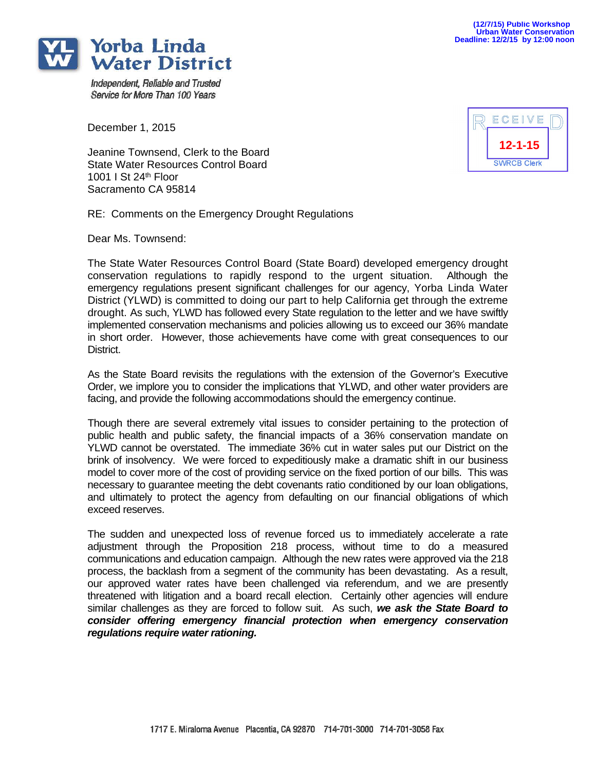

Independent, Reliable and Trusted Service for More Than 100 Years

December 1, 2015

Jeanine Townsend, Clerk to the Board State Water Resources Control Board 1001 I St 24th Floor Sacramento CA 95814

RE: Comments on the Emergency Drought Regulations

Dear Ms. Townsend:

The State Water Resources Control Board (State Board) developed emergency drought conservation regulations to rapidly respond to the urgent situation. Although the emergency regulations present significant challenges for our agency, Yorba Linda Water District (YLWD) is committed to doing our part to help California get through the extreme drought. As such, YLWD has followed every State regulation to the letter and we have swiftly implemented conservation mechanisms and policies allowing us to exceed our 36% mandate in short order. However, those achievements have come with great consequences to our District.

As the State Board revisits the regulations with the extension of the Governor's Executive Order, we implore you to consider the implications that YLWD, and other water providers are facing, and provide the following accommodations should the emergency continue.

Though there are several extremely vital issues to consider pertaining to the protection of public health and public safety, the financial impacts of a 36% conservation mandate on YLWD cannot be overstated. The immediate 36% cut in water sales put our District on the brink of insolvency. We were forced to expeditiously make a dramatic shift in our business model to cover more of the cost of providing service on the fixed portion of our bills. This was necessary to guarantee meeting the debt covenants ratio conditioned by our loan obligations, and ultimately to protect the agency from defaulting on our financial obligations of which exceed reserves.

The sudden and unexpected loss of revenue forced us to immediately accelerate a rate adjustment through the Proposition 218 process, without time to do a measured communications and education campaign. Although the new rates were approved via the 218 process, the backlash from a segment of the community has been devastating. As a result, our approved water rates have been challenged via referendum, and we are presently threatened with litigation and a board recall election. Certainly other agencies will endure similar challenges as they are forced to follow suit. As such, *we ask the State Board to consider offering emergency financial protection when emergency conservation regulations require water rationing.*

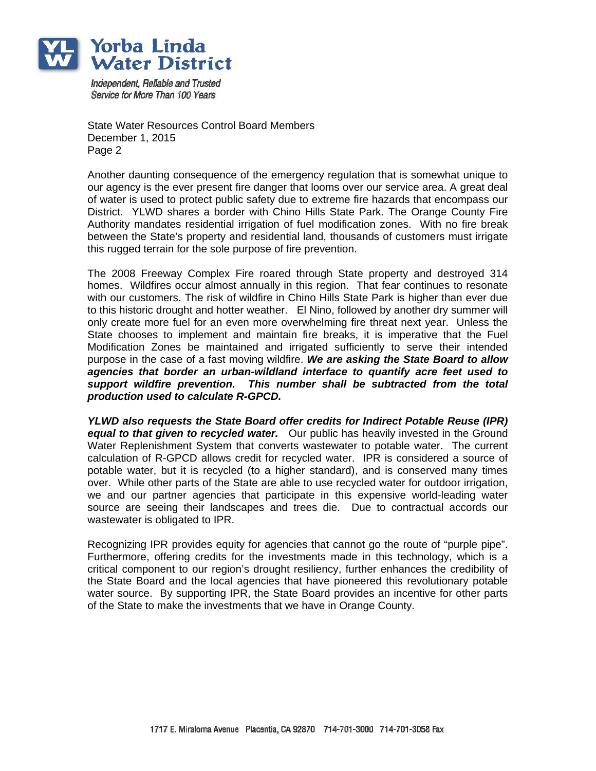

Independent. Reliable and Trusted Service for More Than 100 Years

State Water Resources Control Board Members December 1, 2015 Page 2

Another daunting consequence of the emergency regulation that is somewhat unique to our agency is the ever present fire danger that looms over our service area. A great deal of water is used to protect public safety due to extreme fire hazards that encompass our District. YLWD shares a border with Chino Hills State Park. The Orange County Fire Authority mandates residential irrigation of fuel modification zones. With no fire break between the State's property and residential land, thousands of customers must irrigate this rugged terrain for the sole purpose of fire prevention.

The 2008 Freeway Complex Fire roared through State property and destroyed 314 homes. Wildfires occur almost annually in this region. That fear continues to resonate with our customers. The risk of wildfire in Chino Hills State Park is higher than ever due to this historic drought and hotter weather. El Nino, followed by another dry summer will only create more fuel for an even more overwhelming fire threat next year. Unless the State chooses to implement and maintain fire breaks, it is imperative that the Fuel Modification Zones be maintained and irrigated sufficiently to serve their intended purpose in the case of a fast moving wildfire. *We are asking the State Board to allow agencies that border an urban-wildland interface to quantify acre feet used to support wildfire prevention. This number shall be subtracted from the total production used to calculate R-GPCD.*

*YLWD also requests the State Board offer credits for Indirect Potable Reuse (IPR) equal to that given to recycled water.* Our public has heavily invested in the Ground Water Replenishment System that converts wastewater to potable water. The current calculation of R-GPCD allows credit for recycled water. IPR is considered a source of potable water, but it is recycled (to a higher standard), and is conserved many times over. While other parts of the State are able to use recycled water for outdoor irrigation, we and our partner agencies that participate in this expensive world-leading water source are seeing their landscapes and trees die. Due to contractual accords our wastewater is obligated to IPR.

Recognizing IPR provides equity for agencies that cannot go the route of "purple pipe". Furthermore, offering credits for the investments made in this technology, which is a critical component to our region's drought resiliency, further enhances the credibility of the State Board and the local agencies that have pioneered this revolutionary potable water source. By supporting IPR, the State Board provides an incentive for other parts of the State to make the investments that we have in Orange County.